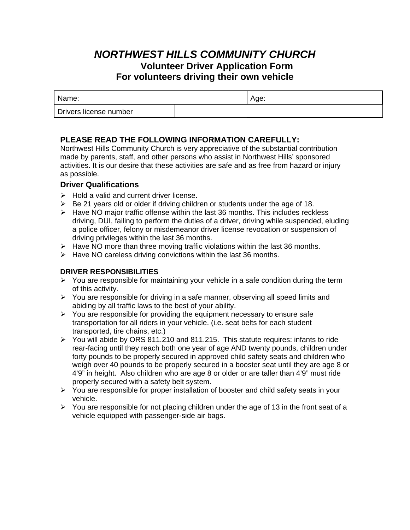# *NORTHWEST HILLS COMMUNITY CHURCH* **Volunteer Driver Application Form For volunteers driving their own vehicle**

| Name:                  | Aae: |
|------------------------|------|
| Drivers license number |      |

## **PLEASE READ THE FOLLOWING INFORMATION CAREFULLY:**

Northwest Hills Community Church is very appreciative of the substantial contribution made by parents, staff, and other persons who assist in Northwest Hills' sponsored activities. It is our desire that these activities are safe and as free from hazard or injury as possible.

## **Driver Qualifications**

- $\triangleright$  Hold a valid and current driver license.
- $\triangleright$  Be 21 years old or older if driving children or students under the age of 18.
- $\triangleright$  Have NO major traffic offense within the last 36 months. This includes reckless driving, DUI, failing to perform the duties of a driver, driving while suspended, eluding a police officer, felony or misdemeanor driver license revocation or suspension of driving privileges within the last 36 months.
- $\triangleright$  Have NO more than three moving traffic violations within the last 36 months.
- $\triangleright$  Have NO careless driving convictions within the last 36 months.

## **DRIVER RESPONSIBILITIES**

- $\triangleright$  You are responsible for maintaining your vehicle in a safe condition during the term of this activity.
- $\triangleright$  You are responsible for driving in a safe manner, observing all speed limits and abiding by all traffic laws to the best of your ability.
- $\geq$  You are responsible for providing the equipment necessary to ensure safe transportation for all riders in your vehicle. (i.e. seat belts for each student transported, tire chains, etc.)
- ¾ You will abide by ORS 811.210 and 811.215. This statute requires: infants to ride rear-facing until they reach both one year of age AND twenty pounds, children under forty pounds to be properly secured in approved child safety seats and children who weigh over 40 pounds to be properly secured in a booster seat until they are age 8 or 4'9" in height. Also children who are age 8 or older or are taller than 4'9" must ride properly secured with a safety belt system.
- ¾ You are responsible for proper installation of booster and child safety seats in your vehicle.
- $\geq$  You are responsible for not placing children under the age of 13 in the front seat of a vehicle equipped with passenger-side air bags.